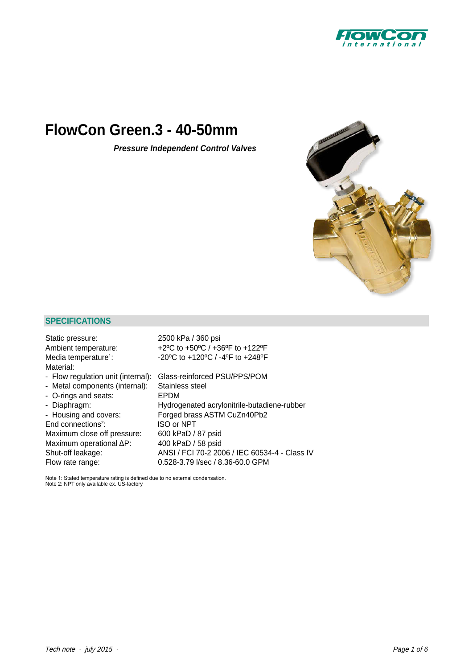

# **FlowCon Green.3 - 40-50mm**

*[Pressure Independent Control Valves](http://planetaklimata.com.ua/ua/katalog-proizvoditeli/FlowCon/)*



# **SPECIFICATIONS**

| Static pressure:                   | 2500 kPa / 360 psi                                                       |
|------------------------------------|--------------------------------------------------------------------------|
| Ambient temperature:               | +2°C to +50°C / +36°F to +122°F                                          |
| Media temperature <sup>1</sup> :   | $-20^{\circ}$ C to $+120^{\circ}$ C / $-4^{\circ}$ F to $+248^{\circ}$ F |
| Material:                          |                                                                          |
| - Flow regulation unit (internal): | Glass-reinforced PSU/PPS/POM                                             |
| - Metal components (internal):     | Stainless steel                                                          |
| - O-rings and seats:               | EPDM                                                                     |
| - Diaphragm:                       | Hydrogenated acrylonitrile-butadiene-rubber                              |
| - Housing and covers:              | Forged brass ASTM CuZn40Pb2                                              |
| End connections <sup>2</sup> :     | ISO or NPT                                                               |
| Maximum close off pressure:        | 600 kPaD / 87 psid                                                       |
| Maximum operational ΔP:            | 400 kPaD / 58 psid                                                       |
| Shut-off leakage:                  | ANSI / FCI 70-2 2006 / IEC 60534-4 - Class IV                            |
| Flow rate range:                   | 0.528-3.79 l/sec / 8.36-60.0 GPM                                         |
|                                    |                                                                          |

Note 1: Stated temperature rating is defined due to no external condensation. Note 2: NPT only available ex. US-factory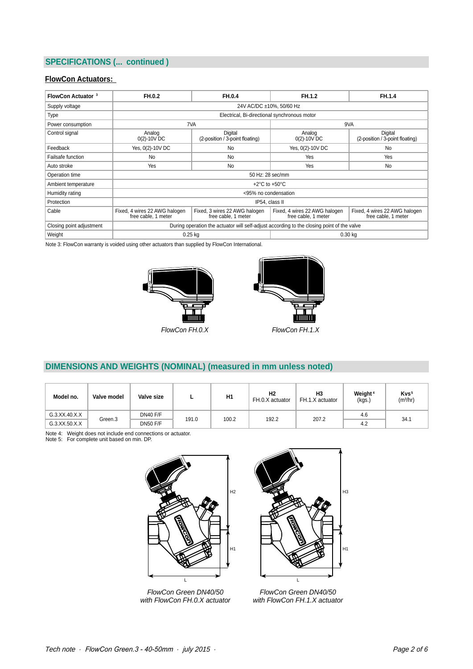# **SPECIFICATIONS (... continued )**

## **FlowCon Actuators:**

| <b>FlowCon Actuator 3</b> | FH.0.2                                                                                     | FH.0.4                                               | FH.1.2                                               | FH.1.4                                               |  |
|---------------------------|--------------------------------------------------------------------------------------------|------------------------------------------------------|------------------------------------------------------|------------------------------------------------------|--|
| Supply voltage            | 24V AC/DC ±10%, 50/60 Hz                                                                   |                                                      |                                                      |                                                      |  |
| <b>Type</b>               | Electrical, Bi-directional synchronous motor                                               |                                                      |                                                      |                                                      |  |
| Power consumption         |                                                                                            | 7VA                                                  | 9VA                                                  |                                                      |  |
| Control signal            | Analog<br>$0(2) - 10V$ DC                                                                  | Digital<br>(2-position / 3-point floating)           | Analog<br>$0(2) - 10V$ DC                            | Digital<br>(2-position / 3-point floating)           |  |
| Feedback                  | Yes, 0(2)-10V DC                                                                           |                                                      | Yes, 0(2)-10V DC                                     | <b>No</b>                                            |  |
| Failsafe function         | No                                                                                         | <b>No</b>                                            | Yes                                                  | Yes                                                  |  |
| Auto stroke               | Yes                                                                                        | <b>No</b>                                            | Yes                                                  | <b>No</b>                                            |  |
| Operation time            | 50 Hz: 28 sec/mm                                                                           |                                                      |                                                      |                                                      |  |
| Ambient temperature       | $+2^{\circ}$ C to $+50^{\circ}$ C                                                          |                                                      |                                                      |                                                      |  |
| Humidity rating           | <95% no condensation                                                                       |                                                      |                                                      |                                                      |  |
| Protection                | IP54, class II                                                                             |                                                      |                                                      |                                                      |  |
| Cable                     | Fixed, 4 wires 22 AWG halogen<br>free cable, 1 meter                                       | Fixed, 3 wires 22 AWG halogen<br>free cable, 1 meter | Fixed, 4 wires 22 AWG halogen<br>free cable, 1 meter | Fixed, 4 wires 22 AWG halogen<br>free cable, 1 meter |  |
| Closing point adjustment  | During operation the actuator will self-adjust according to the closing point of the valve |                                                      |                                                      |                                                      |  |
| Weight                    | $0.25$ kg<br>$0.30$ kg                                                                     |                                                      |                                                      |                                                      |  |

Note 3: [FlowCon](http://planetaklimata.com.ua/ua/proizvoditeli/FlowCon/) warranty is voided using other actuators than supplied by FlowCon International.





# **DIMENSIONS AND WEIGHTS (NOMINAL) (measured in mm unless noted)**

| Model no.     | Valve model | Valve size      |       | H <sub>1</sub> | H <sub>2</sub><br>FH.0.X actuator | H <sub>3</sub><br>FH.1.X actuator | Weight <sup>4</sup><br>(kgs.) | Kvs <sup>5</sup><br>(m <sup>3</sup> /hr) |
|---------------|-------------|-----------------|-------|----------------|-----------------------------------|-----------------------------------|-------------------------------|------------------------------------------|
| G.3.XX.40.X.X | Green.3     | DN40 F/F        | 191.0 | 100.2          | 192.2                             | 207.2                             | 4.6                           | 34.1                                     |
| G.3.XX.50.X.X |             | <b>DN50 F/F</b> |       |                |                                   |                                   | 4.2                           |                                          |

Note 4: Weight does not include end connections or actuator. Note 5: For complete unit based on min. DP.



*FlowCon Green DN40/50 with FlowCon FH.0.X actuator*



*FlowCon Green DN40/50 with FlowCon FH.1.X actuator*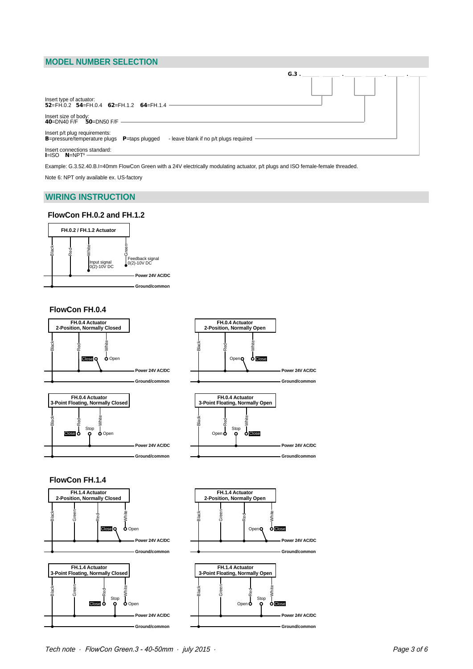## **MODEL NUMBER SELECTION**

|                                                                                                                                        | $G.3$ . |
|----------------------------------------------------------------------------------------------------------------------------------------|---------|
| Insert type of actuator:<br>$52 = FH.0.2$ $54 = FH.0.4$ $62 = FH.1.2$ $64 = FH.1.4$                                                    |         |
| Insert size of body:<br>40=DN40 F/F<br>50=DN50 F/F                                                                                     |         |
| Insert p/t plug requirements:<br><b>B</b> =pressure/temperature plugs <b>P</b> =taps plugged<br>- leave blank if no p/t plugs required |         |
| Insert connections standard:<br>$I = ISO$ $N = NPT6$                                                                                   |         |

Example: G.3.52.40.B.I=40mm FlowCon Green with a 24V electrically modulating actuator, p/t plugs and ISO female-female threaded. Note 6: NPT only available ex. US-factory

## **WIRING INSTRUCTION**

#### **FlowCon FH.0.2 and FH.1.2**



#### **FlowCon FH.0.4**



*Tech note · FlowCon Green.3 - 40-50mm · july 2015 · Page 3 of 6* 3-point-floating, NC 3-point-floating, NC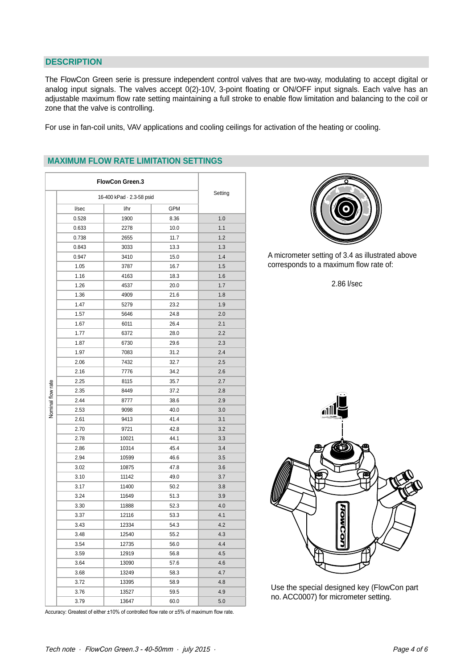#### **DESCRIPTION**

The FlowCon Green serie is pressure independent control valves that are two-way, modulating to accept digital or analog input signals. The valves accept 0(2)-10V, 3-point floating or ON/OFF input signals. Each valve has an adjustable maximum flow rate setting maintaining a full stroke to enable flow limitation and balancing to the coil or zone that the valve is controlling.

For use in fan-coil units, VAV applications and cooling ceilings for activation of the [heating or cooling.](http://planetaklimata.com.ua/ua/)

|                   | <b>FlowCon Green.3</b>    |       |         |     |
|-------------------|---------------------------|-------|---------|-----|
|                   | 16-400 kPad · 2.3-58 psid |       | Setting |     |
|                   | l/sec                     | l/hr  | GPM     |     |
|                   | 0.528                     | 1900  | 8.36    | 1.0 |
|                   | 0.633                     | 2278  | 10.0    | 1.1 |
|                   | 0.738                     | 2655  | 11.7    | 1.2 |
|                   | 0.843                     | 3033  | 13.3    | 1.3 |
|                   | 0.947                     | 3410  | 15.0    | 1.4 |
|                   | 1.05                      | 3787  | 16.7    | 1.5 |
|                   | 1.16                      | 4163  | 18.3    | 1.6 |
|                   | 1.26                      | 4537  | 20.0    | 1.7 |
|                   | 1.36                      | 4909  | 21.6    | 1.8 |
|                   | 1.47                      | 5279  | 23.2    | 1.9 |
|                   | 1.57                      | 5646  | 24.8    | 2.0 |
|                   | 1.67                      | 6011  | 26.4    | 2.1 |
|                   | 1.77                      | 6372  | 28.0    | 2.2 |
|                   | 1.87                      | 6730  | 29.6    | 2.3 |
|                   | 1.97                      | 7083  | 31.2    | 2.4 |
| Nominal flow rate | 2.06                      | 7432  | 32.7    | 2.5 |
|                   | 2.16                      | 7776  | 34.2    | 2.6 |
|                   | 2.25                      | 8115  | 35.7    | 2.7 |
|                   | 2.35                      | 8449  | 37.2    | 2.8 |
|                   | 2.44                      | 8777  | 38.6    | 2.9 |
|                   | 2.53                      | 9098  | 40.0    | 3.0 |
|                   | 2.61                      | 9413  | 41.4    | 3.1 |
|                   | 2.70                      | 9721  | 42.8    | 3.2 |
|                   | 2.78                      | 10021 | 44.1    | 3.3 |
|                   | 2.86                      | 10314 | 45.4    | 3.4 |
|                   | 2.94                      | 10599 | 46.6    | 3.5 |
|                   | 3.02                      | 10875 | 47.8    | 3.6 |
|                   | 3.10                      | 11142 | 49.0    | 3.7 |
|                   | 3.17                      | 11400 | 50.2    | 3.8 |
|                   | 3.24                      | 11649 | 51.3    | 3.9 |
|                   | 3.30                      | 11888 | 52.3    | 4.0 |
|                   | 3.37                      | 12116 | 53.3    | 4.1 |
|                   | 3.43                      | 12334 | 54.3    | 4.2 |
|                   | 3.48                      | 12540 | 55.2    | 4.3 |
|                   | 3.54                      | 12735 | 56.0    | 4.4 |
|                   | 3.59                      | 12919 | 56.8    | 4.5 |
|                   | 3.64                      | 13090 | 57.6    | 4.6 |
|                   | 3.68                      | 13249 | 58.3    | 4.7 |
|                   | 3.72                      | 13395 | 58.9    | 4.8 |
|                   | 3.76                      | 13527 | 59.5    | 4.9 |
|                   | 3.79                      | 13647 | 60.0    | 5.0 |

#### **MAXIMUM FLOW RATE LIMITATION SETTINGS**



A micrometer setting of 3.4 as illustrated above corresponds to a maximum flow rate of:

2.86 l/sec



Use the special designed key (FlowCon part no. ACC0007) for micrometer setting.

Accuracy: Greatest of either ±10% of controlled flow rate or ±5% of maximum flow rate.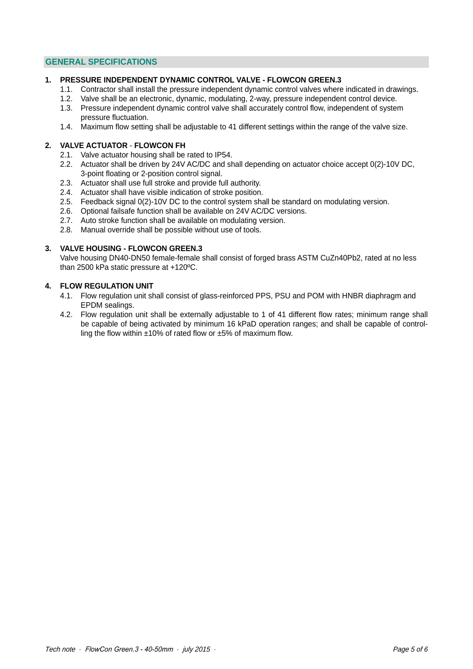# **GENERAL SPECIFICATIONS**

#### **1. PRESSURE INDEPENDENT DYNAMIC CONTROL VALVE - [FLOWCON GREEN.3](http://planetaklimata.com.ua/ua/catalog/lineup/?goodsid=1051&path=root-27-46-136-1051)**

- 1.1. Contractor shall install the pressure independent dynamic control valves where indicated in drawings.
- 1.2. Valve shall be an electronic, dynamic, modulating, 2-way, pressure independent control device.
- 1.3. Pressure independent dynamic control valve shall accurately control flow, independent of system pressure fluctuation.
- 1.4. Maximum flow setting shall be adjustable to 41 different settings within the range of the valve size.

## **2. VALVE ACTUATOR** - **FLOWCON FH**

- 2.1. Valve actuator housing shall be rated to IP54.
- 2.2. Actuator shall be driven by 24V AC/DC and shall depending on actuator choice accept 0(2)-10V DC, 3-point floating or 2-position control signal.
- 2.3. Actuator shall use full stroke and provide full authority.
- 2.4. Actuator shall have visible indication of stroke position.
- 2.5. Feedback signal 0(2)-10V DC to the control system shall be standard on modulating version.
- 2.6. Optional failsafe function shall be available on 24V AC/DC versions.
- 2.7. Auto stroke function shall be available on modulating version.
- 2.8. Manual override shall be possible without use of tools.

#### **3. VALVE HOUSING - FLOWCON GREEN.3**

Valve housing DN40-DN50 female-female shall consist of forged brass ASTM CuZn40Pb2, rated at no less than 2500 kPa static pressure at +120ºC.

## **4. FLOW REGULATION UNIT**

- 4.1. Flow regulation unit shall consist of glass-reinforced PPS, PSU and POM with HNBR diaphragm and EPDM sealings.
- 4.2. Flow regulation unit shall be externally adjustable to 1 of 41 different flow rates; minimum range shall be capable of being activated by minimum 16 kPaD operation ranges; and shall be capable of control ling the flow within ±10% of rated flow or ±5% of maximum flow.